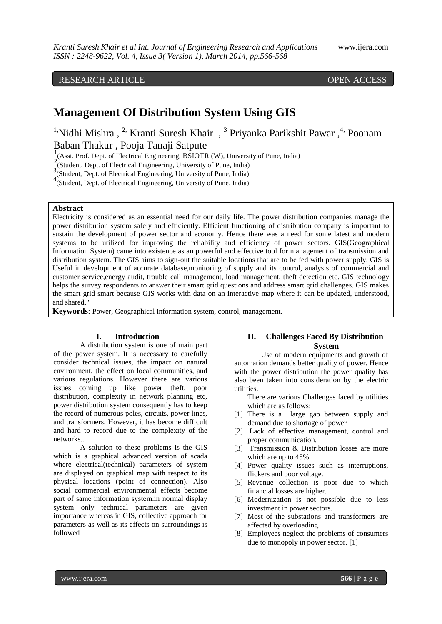## RESEARCH ARTICLE OPEN ACCESS

# **Management Of Distribution System Using GIS**

<sup>1</sup>'Nidhi Mishra, <sup>2,</sup> Kranti Suresh Khair, <sup>3</sup> Priyanka Parikshit Pawar, <sup>4,</sup> Poonam Baban Thakur , Pooja Tanaji Satpute

<sup>1</sup><sub>2</sub>(Asst. Prof. Dept. of Electrical Engineering, BSIOTR (W), University of Pune, India)

 $2(\text{Student}, \text{Depth}, \text{of Electrical Engineering}, \text{University of Pune}, \text{India})$ 

3 (Student, Dept. of Electrical Engineering, University of Pune, India)

4 (Student, Dept. of Electrical Engineering, University of Pune, India)

## **Abstract**

Electricity is considered as an essential need for our daily life. The power distribution companies manage the power distribution system safely and efficiently. Efficient functioning of distribution company is important to sustain the development of power sector and economy. Hence there was a need for some latest and modern systems to be utilized for improving the reliability and efficiency of power sectors. GIS(Geographical Information System) came into existence as an powerful and effective tool for management of transmission and distribution system. The GIS aims to sign-out the suitable locations that are to be fed with power supply. GIS is Useful in development of accurate database,monitoring of supply and its control, analysis of commercial and customer service,energy audit, trouble call management, load management, theft detection etc. GIS technology helps the survey respondents to answer their smart grid questions and address smart grid challenges. GIS makes the smart grid smart because GIS works with data on an interactive map where it can be updated, understood, and shared."

**Keywords**: Power, Geographical information system, control, management.

#### **I. Introduction**

A distribution system is one of main part of the power system. It is necessary to carefully consider technical issues, the impact on natural environment, the effect on local communities, and various regulations. However there are various issues coming up like power theft, poor distribution, complexity in network planning etc, power distribution system consequently has to keep the record of numerous poles, circuits, power lines, and transformers. However, it has become difficult and hard to record due to the complexity of the networks..

A solution to these problems is the GIS which is a graphical advanced version of scada where electrical(technical) parameters of system are displayed on graphical map with respect to its physical locations (point of connection). Also social commercial environmental effects become part of same information system.in normal display system only technical parameters are given importance whereas in GIS, collective approach for parameters as well as its effects on surroundings is followed

## **II. Challenges Faced By Distribution System**

Use of modern equipments and growth of automation demands better quality of power. Hence with the power distribution the power quality has also been taken into consideration by the electric utilities.

There are various Challenges faced by utilities which are as follows:

- [1] There is a large gap between supply and demand due to shortage of power
- [2] Lack of effective management, control and proper communication.
- [3] Transmission & Distribution losses are more which are up to 45%.
- [4] Power quality issues such as interruptions, flickers and poor voltage.
- [5] Revenue collection is poor due to which financial losses are higher.
- [6] Modernization is not possible due to less investment in power sectors.
- [7] Most of the substations and transformers are affected by overloading.
- [8] Employees neglect the problems of consumers due to monopoly in power sector. [1]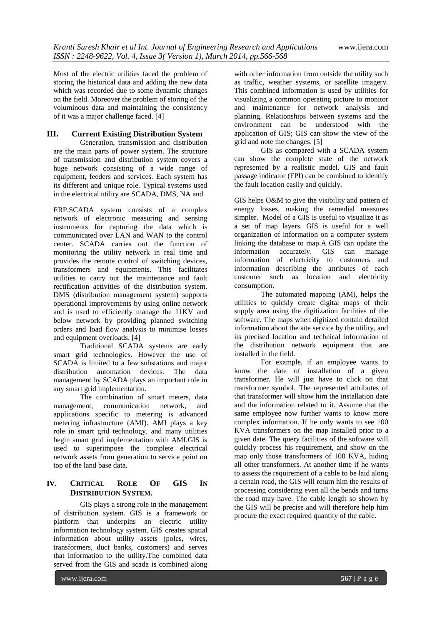Most of the electric utilities faced the problem of storing the historical data and adding the new data which was recorded due to some dynamic changes on the field. Moreover the problem of storing of the voluminous data and maintaining the consistency of it was a major challenge faced. [4]

## **III. Current Existing Distribution System**

Generation, transmission and distribution are the main parts of power system. The structure of transmission and distribution system covers a huge network consisting of a wide range of equipment, feeders and services. Each system has its different and unique role. Typical systems used in the electrical utility are SCADA, DMS, NA and

ERP.SCADA system consists of a complex network of electronic measuring and sensing instruments for capturing the data which is communicated over LAN and WAN to the control center. SCADA carries out the function of monitoring the utility network in real time and provides the remote control of switching devices, transformers and equipments. This facilitates utilities to carry out the maintenance and fault rectification activities of the distribution system. DMS (distribution management system) supports operational improvements by using online network and is used to efficiently manage the 11KV and below network by providing planned switching orders and load flow analysis to minimise losses and equipment overloads. [4]

Traditional SCADA systems are early smart grid technologies. However the use of SCADA is limited to a few substations and major distribution automation devices. The data management by SCADA plays an important role in any smart grid implementation.

The combination of smart meters, data management, communication network, and applications specific to metering is advanced metering infrastructure (AMI). AMI plays a key role in smart grid technology, and many utilities begin smart grid implementation with AMI.GIS is used to superimpose the complete electrical network assets from generation to service point on top of the land base data.

## **IV. CRITICAL ROLE OF GIS IN DISTRIBUTION SYSTEM.**

GIS plays a strong role in the management of distribution system. GIS is a framework or platform that underpins an electric utility information technology system. GIS creates spatial information about utility assets (poles, wires, transformers, duct banks, customers) and serves that information to the utility.The combined data served from the GIS and scada is combined along

with other information from outside the utility such as traffic, weather systems, or satellite imagery. This combined information is used by utilities for visualizing a common operating picture to monitor and maintenance for network analysis and planning. Relationships between systems and the environment can be understood with the application of GIS; GIS can show the view of the grid and note the changes. [5]

GIS as compared with a SCADA system can show the complete state of the network represented by a realistic model. GIS and fault passage indicator (FPI) can be combined to identify the fault location easily and quickly.

GIS helps O&M to give the visibility and pattern of energy losses, making the remedial measures simpler. Model of a GIS is useful to visualize it as a set of map layers. GIS is useful for a well organization of information on a computer system linking the database to map.A GIS can update the information accurately. GIS can manage information of electricity to customers and information describing the attributes of each customer such as location and electricity consumption.

The automated mapping (AM), helps the utilities to quickly create digital maps of their supply area using the digitization facilities of the software. The maps when digitized contain detailed information about the site service by the utility, and its precised location and technical information of the distribution network equipment that are installed in the field.

For example, if an employee wants to know the date of installation of a given transformer. He will just have to click on that transformer symbol. The represented attributes of that transformer will show him the installation date and the information related to it. Assume that the same employee now further wants to know more complex information. If he only wants to see 100 KVA transformers on the map installed prior to a given date. The query facilities of the software will quickly process his requirement, and show on the map only those transformers of 100 KVA, hiding all other transformers. At another time if he wants to assess the requirement of a cable to be laid along a certain road, the GIS will return him the results of processing considering even all the bends and turns the road may have. The cable length so shown by the GIS will be precise and will therefore help him procure the exact required quantity of the cable.